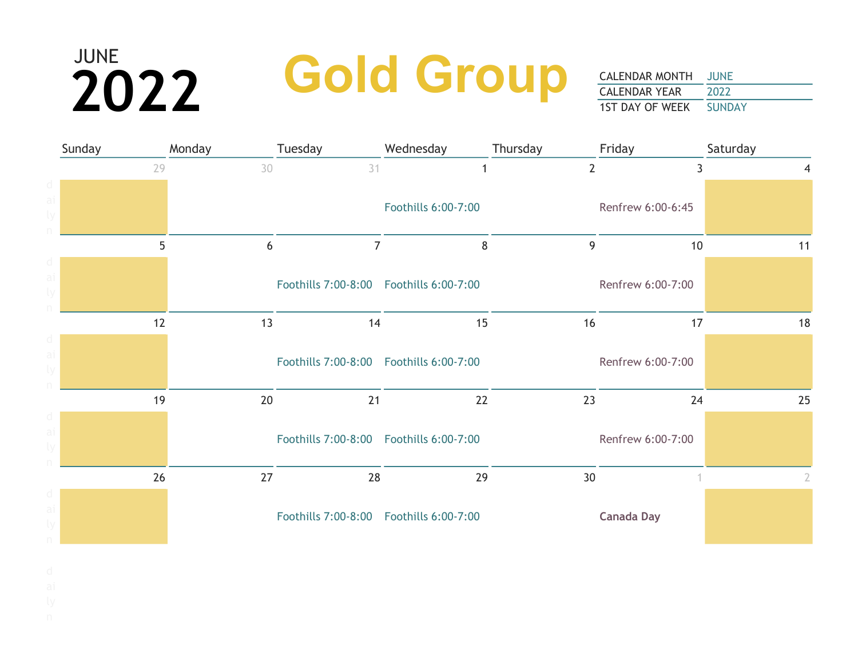### **2022 Gold Group**

| Sunday |    | Monday | Tuesday                                    | Wednesday           | Thursday       | Friday            | Saturday |
|--------|----|--------|--------------------------------------------|---------------------|----------------|-------------------|----------|
|        | 29 | 30     | 31                                         | 1                   | $\overline{2}$ | 3                 | 4        |
|        |    |        |                                            | Foothills 6:00-7:00 |                | Renfrew 6:00-6:45 |          |
|        | 5  | 6      | $7^{\circ}$                                | 8                   | 9              | 10                | 11       |
|        |    |        | Foothills 7:00-8:00    Foothills 6:00-7:00 |                     |                | Renfrew 6:00-7:00 |          |
|        | 12 | 13     | 14                                         | 15                  | 16             | 17                | 18       |
|        |    |        | Foothills 7:00-8:00    Foothills 6:00-7:00 |                     |                | Renfrew 6:00-7:00 |          |
|        | 19 | 20     | 21                                         | 22                  | 23             | 24                | 25       |
|        |    |        | Foothills 7:00-8:00    Foothills 6:00-7:00 |                     |                | Renfrew 6:00-7:00 |          |
|        | 26 | 27     | 28                                         | 29                  | 30             |                   | 2        |
|        |    |        | Foothills 7:00-8:00    Foothills 6:00-7:00 |                     |                | <b>Canada Day</b> |          |

- 
- 
-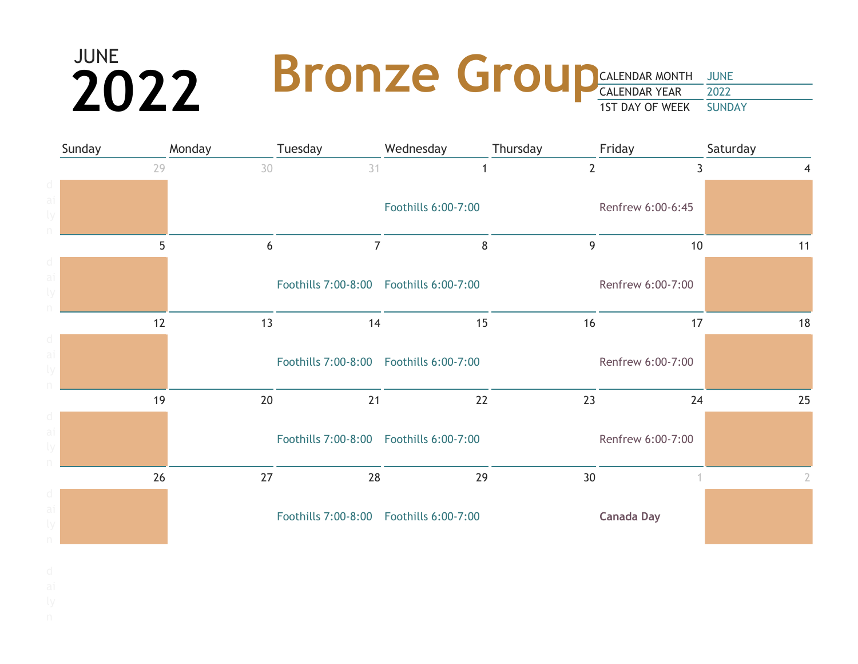### CALENDAR MONTH JUNE CALENDAR YEAR 2022 1ST DAY OF WEEK SUNDAY  $2022$  Bronze Group

| Sunday | Monday | Tuesday                                    | Wednesday           | Thursday       | Friday            | Saturday |
|--------|--------|--------------------------------------------|---------------------|----------------|-------------------|----------|
| 29     | 30     | 31                                         | 1                   | $\overline{2}$ | 3                 | 4        |
|        |        |                                            |                     |                |                   |          |
|        |        |                                            | Foothills 6:00-7:00 |                | Renfrew 6:00-6:45 |          |
|        |        |                                            |                     |                |                   |          |
| 5      | 6      | $\overline{7}$                             | 8                   | 9              | 10                | 11       |
|        |        |                                            |                     |                |                   |          |
|        |        | Foothills 7:00-8:00    Foothills 6:00-7:00 |                     |                | Renfrew 6:00-7:00 |          |
|        |        |                                            |                     |                |                   |          |
| 12     | 13     | 14                                         | 15                  | 16             | 17                | 18       |
|        |        |                                            |                     |                |                   |          |
|        |        | Foothills 7:00-8:00    Foothills 6:00-7:00 |                     |                | Renfrew 6:00-7:00 |          |
|        |        |                                            |                     |                |                   |          |
| 19     | 20     | 21                                         | 22                  | 23             | 24                | 25       |
|        |        |                                            |                     |                |                   |          |
|        |        | Foothills 7:00-8:00    Foothills 6:00-7:00 |                     |                | Renfrew 6:00-7:00 |          |
|        |        |                                            |                     |                |                   |          |
| 26     | 27     | 28                                         | 29                  | 30             |                   | 2        |
|        |        |                                            |                     |                |                   |          |
|        |        | Foothills 7:00-8:00    Foothills 6:00-7:00 |                     |                | <b>Canada Day</b> |          |
|        |        |                                            |                     |                |                   |          |

- 
- 
- 
-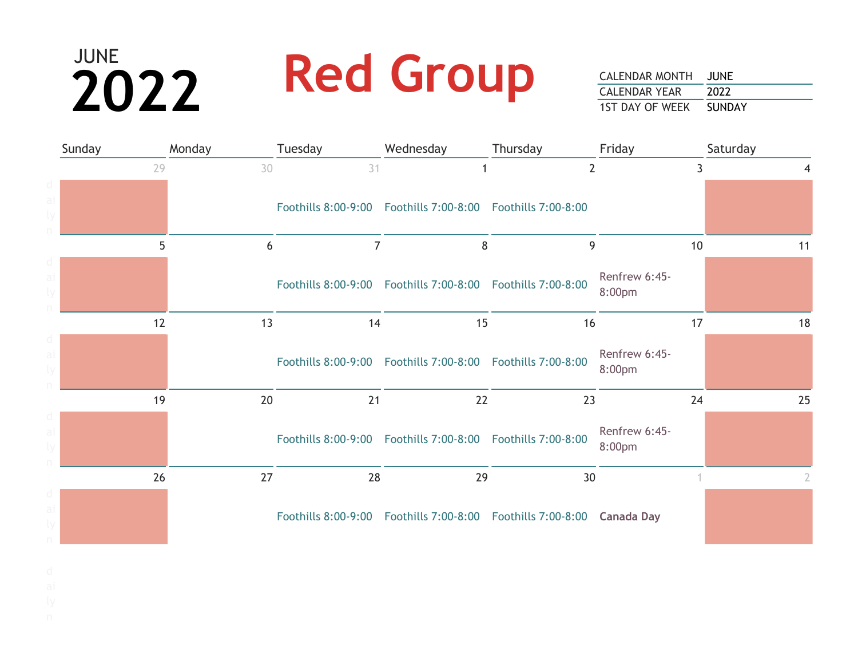# JUNE 2022 Red Group

| Sunday |    | Monday | Tuesday                                                       | Wednesday | Thursday                                                                  | Friday                  | Saturday |
|--------|----|--------|---------------------------------------------------------------|-----------|---------------------------------------------------------------------------|-------------------------|----------|
|        | 29 | 30     | 31                                                            |           | $\overline{2}$                                                            |                         |          |
|        |    |        | Foothills 8:00-9:00  Foothills 7:00-8:00  Foothills 7:00-8:00 |           |                                                                           |                         |          |
|        | 5  | 6      | $\overline{7}$                                                | 8         | 9                                                                         | 10                      | 11       |
|        |    |        | Foothills 8:00-9:00  Foothills 7:00-8:00  Foothills 7:00-8:00 |           |                                                                           | Renfrew 6:45-<br>8:00pm |          |
|        | 12 | 13     | 14                                                            | 15        | 16                                                                        | 17                      | 18       |
|        |    |        | Foothills 8:00-9:00  Foothills 7:00-8:00  Foothills 7:00-8:00 |           |                                                                           | Renfrew 6:45-<br>8:00pm |          |
|        | 19 | 20     | 21                                                            | 22        | 23                                                                        | 24                      | 25       |
|        |    |        | Foothills 8:00-9:00  Foothills 7:00-8:00  Foothills 7:00-8:00 |           |                                                                           | Renfrew 6:45-<br>8:00pm |          |
|        | 26 | 27     | 28                                                            | 29        | 30                                                                        |                         | 2        |
|        |    |        |                                                               |           | Foothills 8:00-9:00  Foothills 7:00-8:00  Foothills 7:00-8:00  Canada Day |                         |          |

- 
-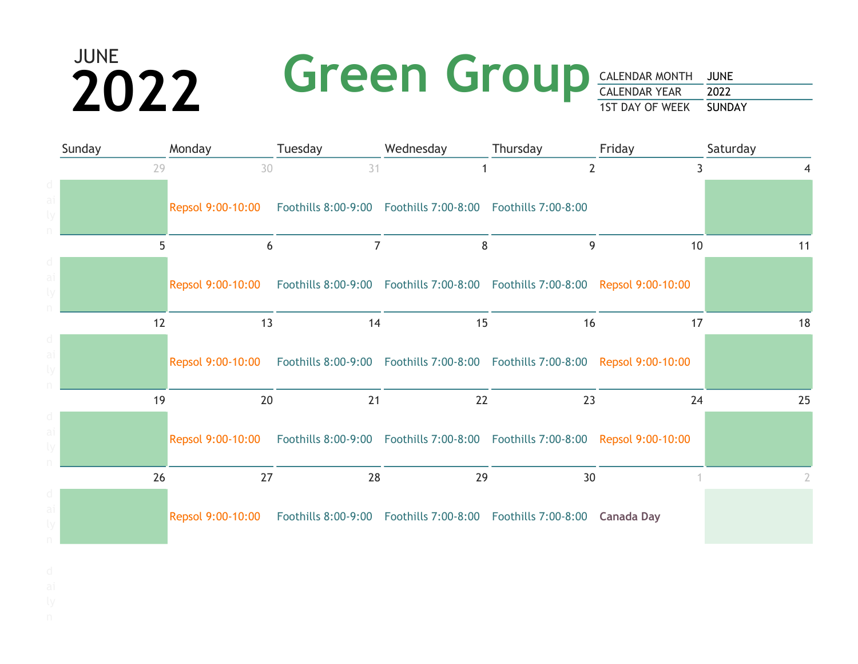# **2022** Green Group

| Sunday | Monday | Tuesday                                                                                             | Wednesday | Thursday       | Friday | Saturday |
|--------|--------|-----------------------------------------------------------------------------------------------------|-----------|----------------|--------|----------|
| 29     | 30     | 31                                                                                                  |           | $\overline{2}$ | 3      |          |
|        |        | Repsol 9:00-10:00  Foothills 8:00-9:00  Foothills 7:00-8:00  Foothills 7:00-8:00                    |           |                |        |          |
| 5      | 6      | $\overline{7}$                                                                                      | 8         | 9              | 10     | 11       |
|        |        | Repsol 9:00-10:00 Foothills 8:00-9:00 Foothills 7:00-8:00 Foothills 7:00-8:00 Repsol 9:00-10:00     |           |                |        |          |
| 12     | 13     | 14                                                                                                  | 15        | 16             | 17     | 18       |
|        |        | Repsol 9:00-10:00 Foothills 8:00-9:00 Foothills 7:00-8:00 Foothills 7:00-8:00 Repsol 9:00-10:00     |           |                |        |          |
| 19     | 20     | 21                                                                                                  | 22        | 23             | 24     | 25       |
|        |        | Repsol 9:00-10:00  Foothills 8:00-9:00  Foothills 7:00-8:00  Foothills 7:00-8:00  Repsol 9:00-10:00 |           |                |        |          |
| 26     | 27     | 28                                                                                                  | 29        | 30             |        |          |
|        |        | Repsol 9:00-10:00 Foothills 8:00-9:00 Foothills 7:00-8:00 Foothills 7:00-8:00 Canada Day            |           |                |        |          |

- 
- 
-